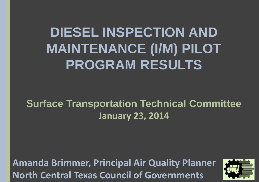**DIESEL INSPECTION AND MAINTENANCE (I/M) PILOT PROGRAM RESULTS**

**Surface Transportation Technical Committee January 23, 2014**

**Amanda Brimmer, Principal Air Quality Planner North Central Texas Council of Governments** 

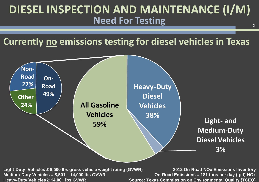# **[DIESEL INSPECTION AND MAINTENANCE \(I/M\)](http://tti.tamu.edu/)  Need For Testing**

**Currently no emissions testing for diesel vehicles in Texas**



**Medium-Duty Vehicles = 8,501 – 14,000 lbs GVWR Heavy-Duty Vehicles ≥ 14,001 lbs GVWR** 

**2012 On-Road NOx Emissions Inventory On-Road Emissions = 181 tons per day (tpd) NOx Source: Texas Commission on Environmental Quality (TCEQ)** 

**2**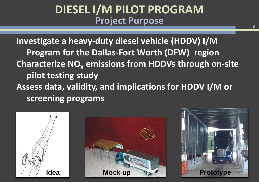# **[DIESEL I/M PILOT PROGRAM](http://tti.tamu.edu/)  Project Purpose**

**Investigate a heavy-duty diesel vehicle (HDDV) I/M Program for the Dallas-Fort Worth (DFW) region Characterize NO<sub>x</sub> emissions from HDDVs through on-site pilot testing study Assess data, validity, and implications for HDDV I/M or screening programs**





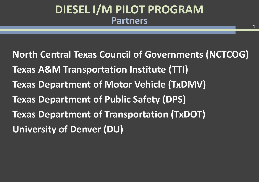# **[DIESEL I/M PILOT PROGRAM](http://tti.tamu.edu/)  Partners**

**North Central Texas Council of Governments (NCTCOG) Texas A&M Transportation Institute (TTI) Texas Department of Motor Vehicle (TxDMV) Texas Department of Public Safety (DPS) Texas Department of Transportation (TxDOT) University of Denver (DU)**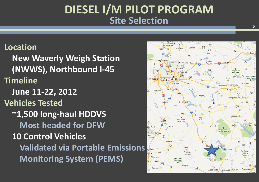# **[DIESEL I/M PILOT PROGRAM](http://tti.tamu.edu/)  Site Selection**

#### **Location**

**New Waverly Weigh Station (NWWS), Northbound I-45 Timeline June 11-22, 2012 Vehicles Tested ~1,500 long-haul HDDVS Most headed for DFW 10 Control Vehicles Validated via Portable Emissions Monitoring System (PEMS)** 

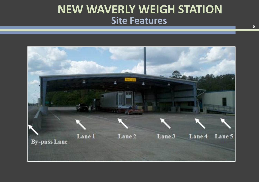# **[NEW WAVERLY WEIGH STATION](http://tti.tamu.edu/) Site Features**

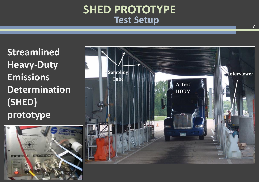## **[SHED PROTOTYPE](http://tti.tamu.edu/) Test Setup**

**Streamlined Heavy-Duty Emissions Determination (SHED) prototype**



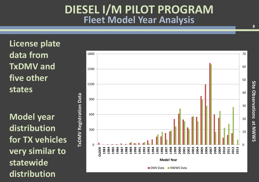# **[DIESEL I/M PILOT PROGRAM](http://tti.tamu.edu/)  Fleet Model Year Analysis**

**License plate data from TxDMV and five other states**

**Model year distribution for TX vehicles very similar to statewide** 



**8**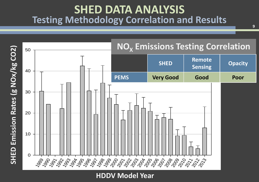### **[SHED DATA ANALYSIS](http://tti.tamu.edu/) Testing Methodology Correlation and Results**

**9**



Model Year **HDDV Model Year**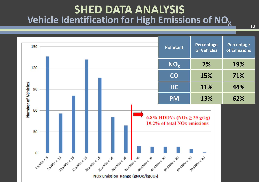# **[SHED DATA ANALYSIS](http://tti.tamu.edu/) Vehicle Identification for High Emissions of NO<sup>X</sup> <sup>10</sup>**

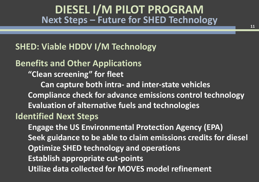## **[DIESEL I/M PILOT PROGRAM](http://tti.tamu.edu/)  Next Steps – Future for SHED Technology**

#### **SHED: Viable HDDV I/M Technology**

#### **Benefits and Other Applications**

**"Clean screening" for fleet** 

**Can capture both intra- and inter-state vehicles Compliance check for advance emissions control technology Evaluation of alternative fuels and technologies**

#### **Identified Next Steps**

**Engage the US Environmental Protection Agency (EPA) Seek guidance to be able to claim emissions credits for diesel Optimize SHED technology and operations Establish appropriate cut-points Utilize data collected for MOVES model refinement**